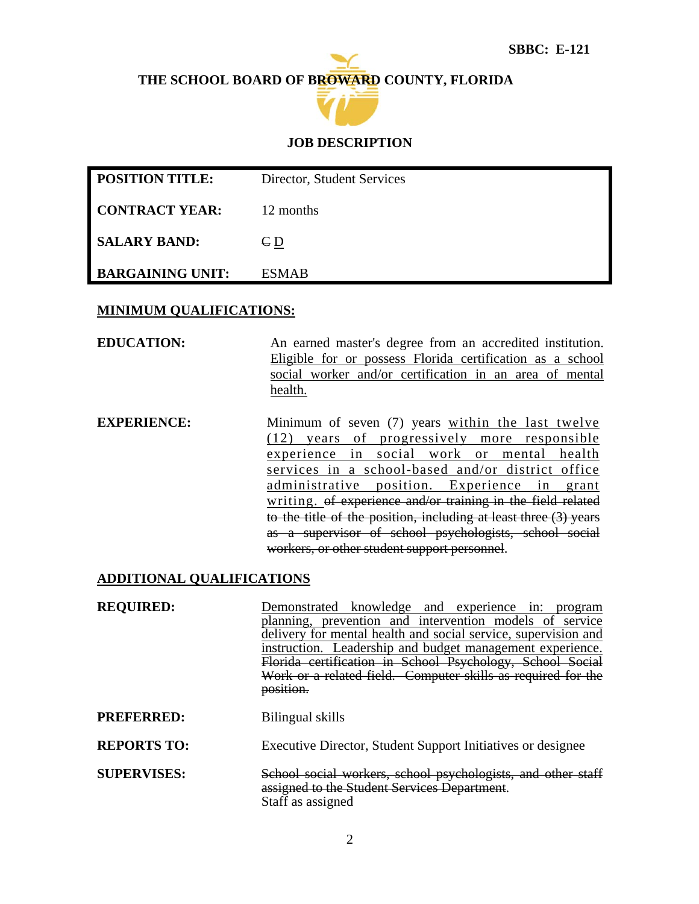## **THE SCHOOL BOARD OF BROWARD COUNTY, FLORIDA**



### **JOB DESCRIPTION**

| <b>POSITION TITLE:</b>  | Director, Student Services |
|-------------------------|----------------------------|
| <b>CONTRACT YEAR:</b>   | 12 months                  |
| <b>SALARY BAND:</b>     | $\epsilon_{D}$             |
| <b>BARGAINING UNIT:</b> | <b>ESMAB</b>               |

#### **MINIMUM QUALIFICATIONS:**

**EDUCATION:** An earned master's degree from an accredited institution. Eligible for or possess Florida certification as a school social worker and/or certification in an area of mental health.

**EXPERIENCE:** Minimum of seven (7) years within the last twelve (12) years of progressively more responsible experience in social work or mental health services in a school-based and/or district office administrative position. Experience in grant writing. of experience and/or training in the field related to the title of the position, including at least three (3) years as a supervisor of school psychologists, school social workers, or other student support personnel.

### **ADDITIONAL QUALIFICATIONS**

**REQUIRED:** Demonstrated knowledge and experience in: program planning, prevention and intervention models of service delivery for mental health and social service, supervision and instruction. Leadership and budget management experience. Florida certification in School Psychology, School Social Work or a related field. Computer skills as required for the position. **PREFERRED:** Bilingual skills **REPORTS TO:** Executive Director, Student Support Initiatives or designee **SUPERVISES:** School social workers, school psychologists, and other staff assigned to the Student Services Department.

Staff as assigned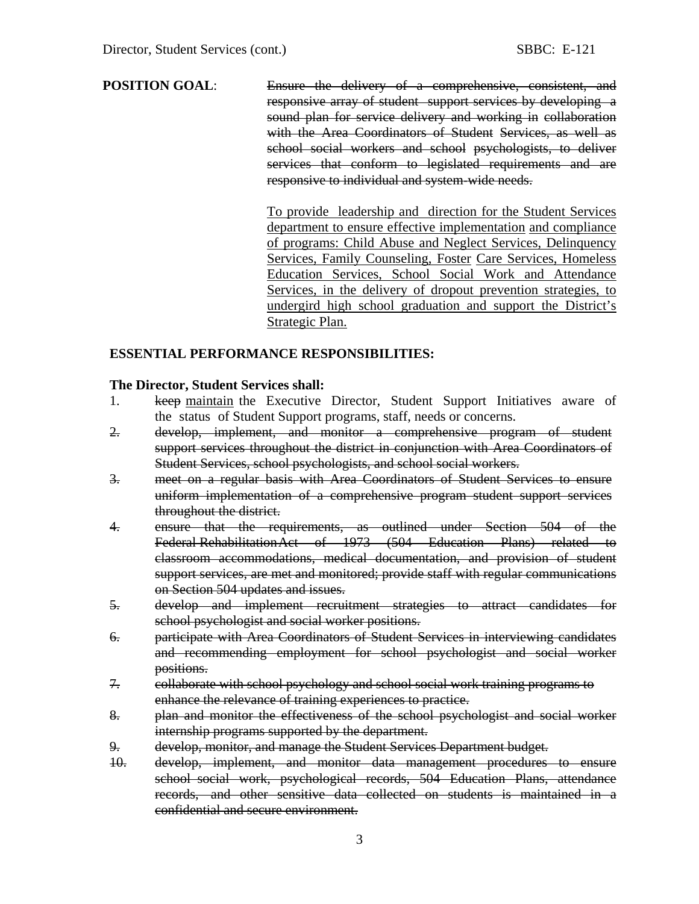### **POSITION GOAL:** Ensure the delivery of a comprehensive, consistent, and responsive array of student support services by developing a sound plan for service delivery and working in collaboration with the Area Coordinators of Student Services, as well as school social workers and school psychologists, to deliver services that conform to legislated requirements and are responsive to individual and system-wide needs.

To provide leadership and direction for the Student Services department to ensure effective implementation and compliance of programs: Child Abuse and Neglect Services, Delinquency Services, Family Counseling, Foster Care Services, Homeless Education Services, School Social Work and Attendance Services, in the delivery of dropout prevention strategies, to undergird high school graduation and support the District's Strategic Plan.

### **ESSENTIAL PERFORMANCE RESPONSIBILITIES:**

#### **The Director, Student Services shall:**

- 1. keep maintain the Executive Director, Student Support Initiatives aware of the status of Student Support programs, staff, needs or concerns.
- 2. develop, implement, and monitor a comprehensive program of student support services throughout the district in conjunction with Area Coordinators of Student Services, school psychologists, and school social workers.
- 3. meet on a regular basis with Area Coordinators of Student Services to ensure uniform implementation of a comprehensive program student support services throughout the district.
- 4. ensure that the requirements, as outlined under Section 504 of the Federal Rehabilitation Act of 1973 (504 Education Plans) related to classroom accommodations, medical documentation, and provision of student support services, are met and monitored; provide staff with regular communications on Section 504 updates and issues.
- 5. develop and implement recruitment strategies to attract candidates for school psychologist and social worker positions.
- 6. participate with Area Coordinators of Student Services in interviewing candidates and recommending employment for school psychologist and social worker positions.
- 7. collaborate with school psychology and school social work training programs to enhance the relevance of training experiences to practice.
- 8. plan and monitor the effectiveness of the school psychologist and social worker internship programs supported by the department.
- 9. develop, monitor, and manage the Student Services Department budget.
- 10. develop, implement, and monitor data management procedures to ensure school social work, psychological records, 504 Education Plans, attendance records, and other sensitive data collected on students is maintained in a confidential and secure environment.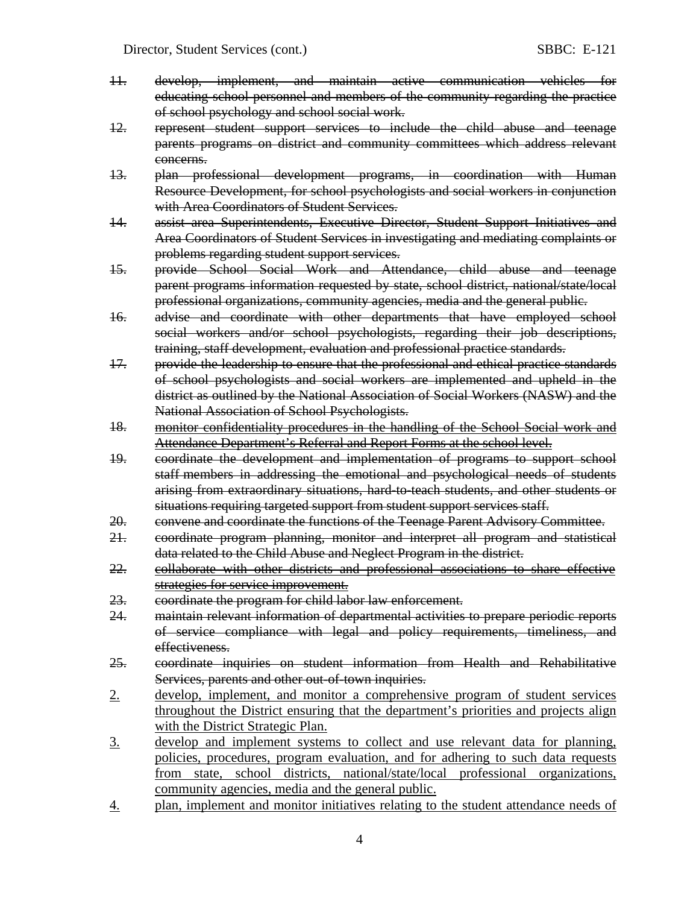- 11. develop, implement, and maintain active communication vehicles for educating school personnel and members of the community regarding the practice of school psychology and school social work.
- 12. represent student support services to include the child abuse and teenage parents programs on district and community committees which address relevant concerns.
- 13. plan professional development programs, in coordination with Human Resource Development, for school psychologists and social workers in conjunction with Area Coordinators of Student Services.
- 14. assist area Superintendents, Executive Director, Student Support Initiatives and Area Coordinators of Student Services in investigating and mediating complaints or problems regarding student support services.
- 15. provide School Social Work and Attendance, child abuse and teenage parent programs information requested by state, school district, national/state/local professional organizations, community agencies, media and the general public.
- 16. advise and coordinate with other departments that have employed school social workers and/or school psychologists, regarding their job descriptions, training, staff development, evaluation and professional practice standards.
- 17. provide the leadership to ensure that the professional and ethical practice standards of school psychologists and social workers are implemented and upheld in the district as outlined by the National Association of Social Workers (NASW) and the National Association of School Psychologists.
- 18. monitor confidentiality procedures in the handling of the School Social work and Attendance Department's Referral and Report Forms at the school level.
- 19. coordinate the development and implementation of programs to support school staff members in addressing the emotional and psychological needs of students arising from extraordinary situations, hard-to-teach students, and other students or situations requiring targeted support from student support services staff.
- 20. convene and coordinate the functions of the Teenage Parent Advisory Committee.
- 21. coordinate program planning, monitor and interpret all program and statistical data related to the Child Abuse and Neglect Program in the district.
- 22. collaborate with other districts and professional associations to share effective strategies for service improvement.
- 23. coordinate the program for child labor law enforcement.
- 24. maintain relevant information of departmental activities to prepare periodic reports of service compliance with legal and policy requirements, timeliness, and effectiveness.
- 25. coordinate inquiries on student information from Health and Rehabilitative Services, parents and other out-of-town inquiries.
- 2. develop, implement, and monitor a comprehensive program of student services throughout the District ensuring that the department's priorities and projects align with the District Strategic Plan.
- 3. develop and implement systems to collect and use relevant data for planning, policies, procedures, program evaluation, and for adhering to such data requests from state, school districts, national/state/local professional organizations, community agencies, media and the general public.
- 4. plan, implement and monitor initiatives relating to the student attendance needs of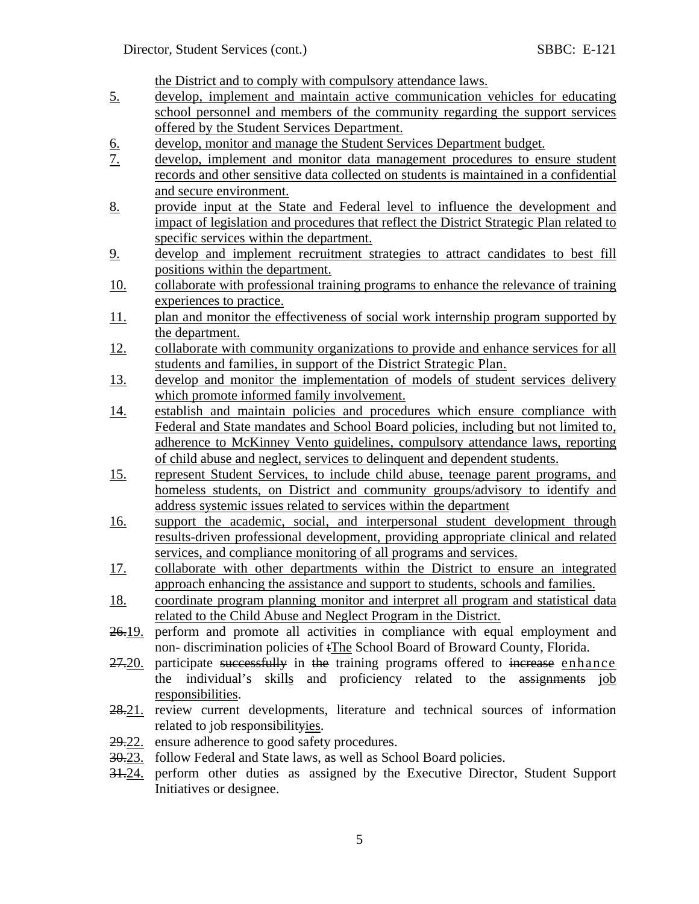the District and to comply with compulsory attendance laws.

- 5. develop, implement and maintain active communication vehicles for educating school personnel and members of the community regarding the support services offered by the Student Services Department.
- 6. develop, monitor and manage the Student Services Department budget.<br>
7. develop, implement and monitor data management procedures to en
- 7. develop, implement and monitor data management procedures to ensure student records and other sensitive data collected on students is maintained in a confidential and secure environment.
- 8. provide input at the State and Federal level to influence the development and impact of legislation and procedures that reflect the District Strategic Plan related to specific services within the department.
- 9. develop and implement recruitment strategies to attract candidates to best fill positions within the department.
- 10. collaborate with professional training programs to enhance the relevance of training experiences to practice.
- 11. plan and monitor the effectiveness of social work internship program supported by the department.
- 12. collaborate with community organizations to provide and enhance services for all students and families, in support of the District Strategic Plan.
- 13. develop and monitor the implementation of models of student services delivery which promote informed family involvement.
- 14. establish and maintain policies and procedures which ensure compliance with Federal and State mandates and School Board policies, including but not limited to, adherence to McKinney Vento guidelines, compulsory attendance laws, reporting of child abuse and neglect, services to delinquent and dependent students.
- 15. represent Student Services, to include child abuse, teenage parent programs, and homeless students, on District and community groups/advisory to identify and address systemic issues related to services within the department
- 16. support the academic, social, and interpersonal student development through results-driven professional development, providing appropriate clinical and related services, and compliance monitoring of all programs and services.
- 17. collaborate with other departments within the District to ensure an integrated approach enhancing the assistance and support to students, schools and families.
- 18. coordinate program planning monitor and interpret all program and statistical data related to the Child Abuse and Neglect Program in the District.
- 26.19. perform and promote all activities in compliance with equal employment and non- discrimination policies of tThe School Board of Broward County, Florida.
- 27.20. participate successfully in the training programs offered to increase enhance the individual's skills and proficiency related to the assignments job responsibilities.
- 28.21. review current developments, literature and technical sources of information related to job responsibilityies.
- 29.22. ensure adherence to good safety procedures.
- 30.23. follow Federal and State laws, as well as School Board policies.
- 31.24. perform other duties as assigned by the Executive Director, Student Support Initiatives or designee.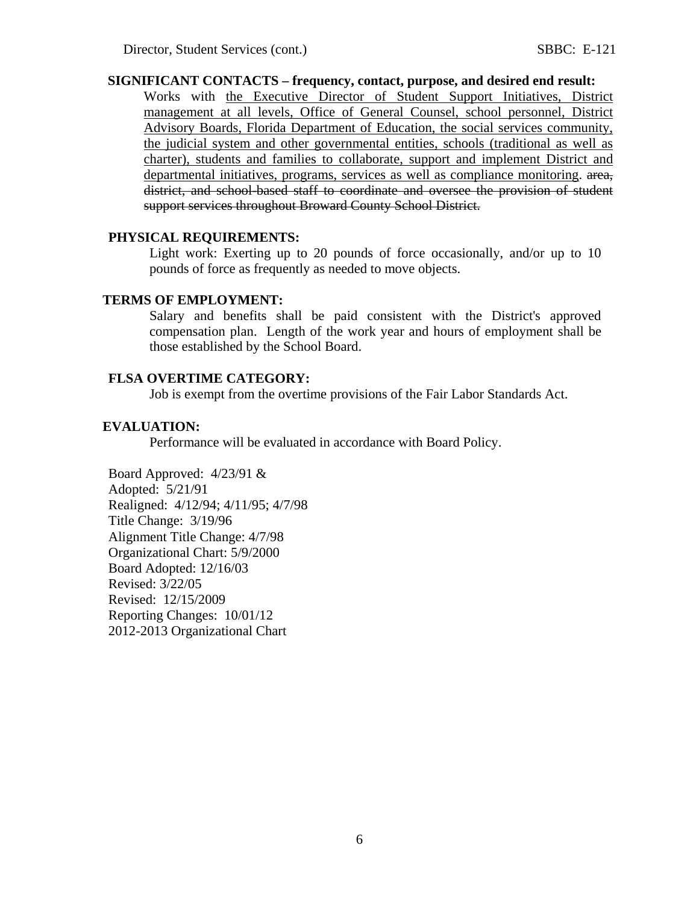### **SIGNIFICANT CONTACTS – frequency, contact, purpose, and desired end result:**

Works with the Executive Director of Student Support Initiatives, District management at all levels, Office of General Counsel, school personnel, District Advisory Boards, Florida Department of Education, the social services community, the judicial system and other governmental entities, schools (traditional as well as charter), students and families to collaborate, support and implement District and departmental initiatives, programs, services as well as compliance monitoring. area, district, and school-based staff to coordinate and oversee the provision of student support services throughout Broward County School District.

#### **PHYSICAL REQUIREMENTS:**

Light work: Exerting up to 20 pounds of force occasionally, and/or up to 10 pounds of force as frequently as needed to move objects.

#### **TERMS OF EMPLOYMENT:**

Salary and benefits shall be paid consistent with the District's approved compensation plan. Length of the work year and hours of employment shall be those established by the School Board.

### **FLSA OVERTIME CATEGORY:**

Job is exempt from the overtime provisions of the Fair Labor Standards Act.

#### **EVALUATION:**

Performance will be evaluated in accordance with Board Policy.

Board Approved: 4/23/91 & Adopted: 5/21/91 Realigned: 4/12/94; 4/11/95; 4/7/98 Title Change: 3/19/96 Alignment Title Change: 4/7/98 Organizational Chart: 5/9/2000 Board Adopted: 12/16/03 Revised: 3/22/05 Revised: 12/15/2009 Reporting Changes: 10/01/12 2012-2013 Organizational Chart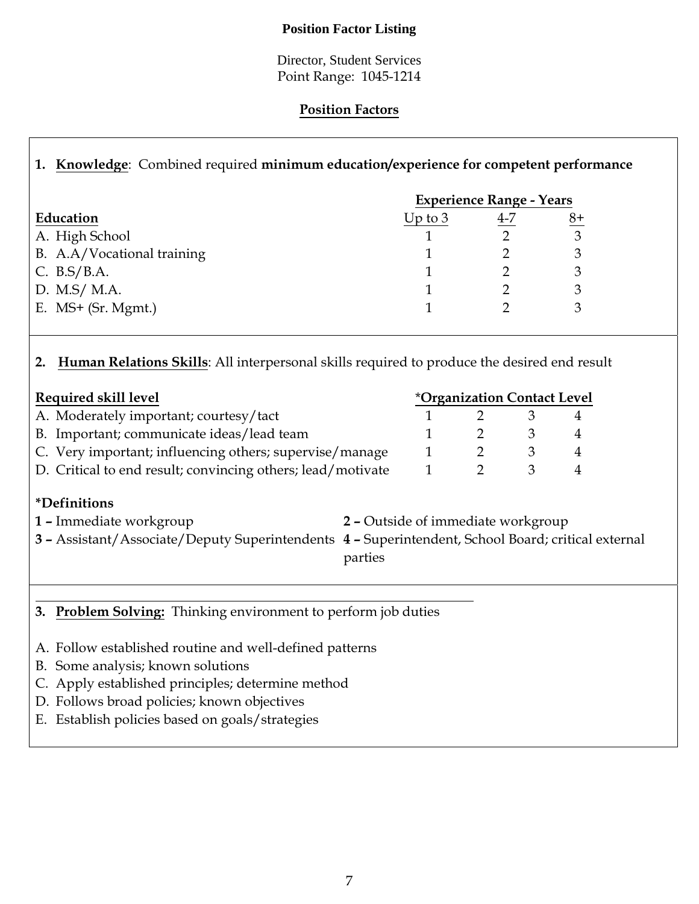### **Position Factor Listing**

Director, Student Services Point Range: 1045-1214

## **Position Factors**

# **1. Knowledge**: Combined required **minimum education/experience for competent performance**

|                            | <b>Experience Range - Years</b> |     |      |  |
|----------------------------|---------------------------------|-----|------|--|
| Education                  | Up to $3$                       | 4-7 | $8+$ |  |
| A. High School             |                                 |     | 3    |  |
| B. A.A/Vocational training |                                 |     | 3    |  |
| C. $B.S/B.A.$              |                                 |     | 3    |  |
| D. M.S/ M.A.               |                                 |     | 3    |  |
| E. $MS+$ (Sr. Mgmt.)       |                                 |     |      |  |

## **2. Human Relations Skills**: All interpersonal skills required to produce the desired end result

| Required skill level                                        |  | <i><b>*Organization Contact Level</b></i> |  |  |  |
|-------------------------------------------------------------|--|-------------------------------------------|--|--|--|
| A. Moderately important; courtesy/tact                      |  |                                           |  |  |  |
| B. Important; communicate ideas/lead team                   |  |                                           |  |  |  |
| C. Very important; influencing others; supervise/manage     |  |                                           |  |  |  |
| D. Critical to end result; convincing others; lead/motivate |  |                                           |  |  |  |
|                                                             |  |                                           |  |  |  |

## **\*Definitions**

- **1 –** Immediate workgroup **2** Outside of immediate workgroup **3 –** Assistant/Associate/Deputy Superintendents **4 –** Superintendent, School Board; critical external parties
- **3. Problem Solving:** Thinking environment to perform job duties
- A. Follow established routine and well-defined patterns
- B. Some analysis; known solutions
- C. Apply established principles; determine method
- D. Follows broad policies; known objectives
- E. Establish policies based on goals/strategies